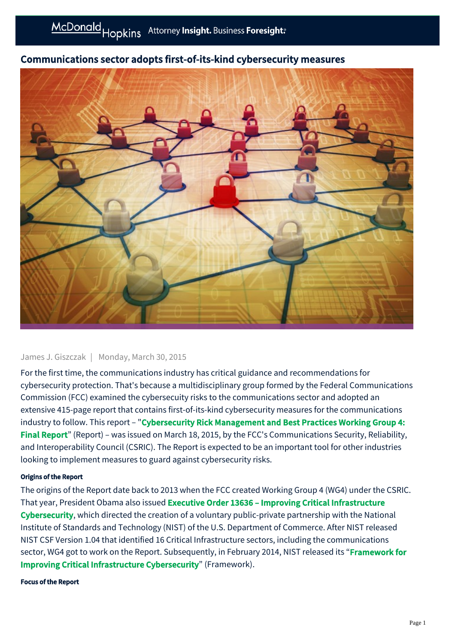

# Communications sector adopts first-of-its-kind cybersecurity measures

#### James J. Giszczak | Monday, March 30, 2015

For the first time, the communications industry has critical guidance and recommendations for cybersecurity protection. That's because a multidisciplinary group formed by the Federal Communications Commission (FCC) examined the cybersecuity risks to the communications sector and adopted an extensive 415-page report that contains first-of-its-kind cybersecurity measures for the communications industry to follow. This report – "Cybersecurity Rick Management and Best Practices Working Group 4: Final Report[" \(Report\) – was issued on March 18, 2015, by the FCC's Communications Security, Reliability,](http://transition.fcc.gov/pshs/advisory/csric4/CSRIC_WG4_Report_Final_March_18_2015.pdf) and Interoperability Council (CSRIC). The Report is expected to be an important tool for other industries looking to implement measures to guard against cybersecurity risks.

#### Origins of the Report

The origins of the Report date back to 2013 when the FCC created Working Group 4 (WG4) under the CSRIC. That year, President Obama also issued Executive Order 13636 – Improving Critical Infrastructure Cybersecurity[, which directed the creation of a voluntary public-private partnership with the Nation](https://www.whitehouse.gov/the-press-office/2013/02/12/executive-order-improving-critical-infrastructure-cybersecurity)al Institute of Standards and Technology (NIST) of the U.S. Department of Commerce. After NIST released NIST CSF Version 1.04 that identified 16 Critical Infrastructure sectors, including the communications [sector, WG4 got to work on the Report. Subsequently, in February 2014, NIST released its "](http://www.nist.gov/cyberframework/)Framework for Improving Critical Infrastructure Cybersecurity" (Framework).

#### Focus of the Report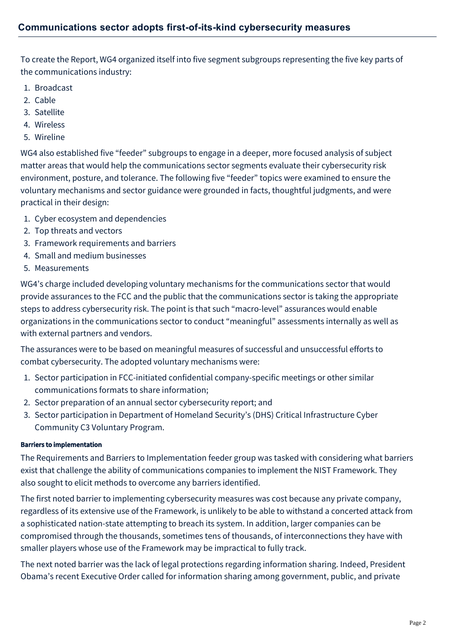To create the Report, WG4 organized itself into five segment subgroups representing the five key parts of the communications industry:

- 1. Broadcast
- 2. Cable
- 3. Satellite
- 4. Wireless
- 5. Wireline

WG4 also established five "feeder" subgroups to engage in a deeper, more focused analysis of subject matter areas that would help the communications sector segments evaluate their cybersecurity risk environment, posture, and tolerance. The following five "feeder" topics were examined to ensure the voluntary mechanisms and sector guidance were grounded in facts, thoughtful judgments, and were practical in their design:

- 1. Cyber ecosystem and dependencies
- 2. Top threats and vectors
- 3. Framework requirements and barriers
- 4. Small and medium businesses
- 5. Measurements

WG4's charge included developing voluntary mechanisms for the communications sector that would provide assurances to the FCC and the public that the communications sector is taking the appropriate steps to address cybersecurity risk. The point is that such "macro-level" assurances would enable organizations in the communications sector to conduct "meaningful" assessments internally as well as with external partners and vendors.

The assurances were to be based on meaningful measures of successful and unsuccessful efforts to combat cybersecurity. The adopted voluntary mechanisms were:

- 1. Sector participation in FCC-initiated confidential company-specific meetings or other similar communications formats to share information;
- 2. Sector preparation of an annual sector cybersecurity report; and
- 3. Sector participation in Department of Homeland Security's (DHS) Critical Infrastructure Cyber Community C3 Voluntary Program.

## Barriers to implementation

The Requirements and Barriers to Implementation feeder group was tasked with considering what barriers exist that challenge the ability of communications companies to implement the NIST Framework. They also sought to elicit methods to overcome any barriers identified.

The first noted barrier to implementing cybersecurity measures was cost because any private company, regardless of its extensive use of the Framework, is unlikely to be able to withstand a concerted attack from a sophisticated nation-state attempting to breach its system. In addition, larger companies can be compromised through the thousands, sometimes tens of thousands, of interconnections they have with smaller players whose use of the Framework may be impractical to fully track.

The next noted barrier was the lack of legal protections regarding information sharing. Indeed, President Obama's recent Executive Order called for information sharing among government, public, and private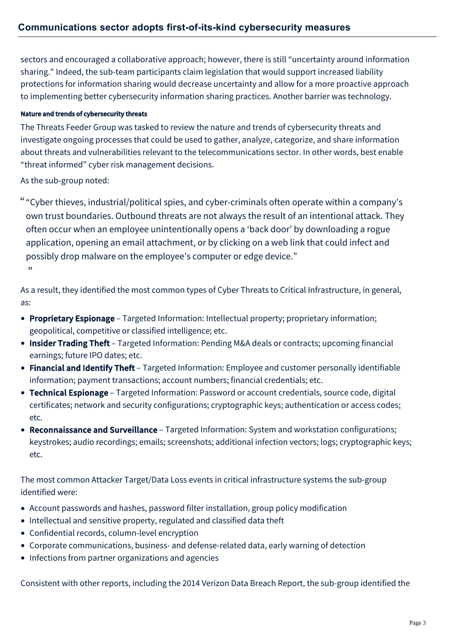sectors and encouraged a collaborative approach; however, there is still "uncertainty around information sharing." Indeed, the sub-team participants claim legislation that would support increased liability protections for information sharing would decrease uncertainty and allow for a more proactive approach to implementing better cybersecurity information sharing practices. Another barrier was technology.

# Nature and trends of cybersecurity threats

The Threats Feeder Group was tasked to review the nature and trends of cybersecurity threats and investigate ongoing processes that could be used to gather, analyze, categorize, and share information about threats and vulnerabilities relevant to the telecommunications sector. In other words, best enable "threat informed" cyber risk management decisions.

As the sub-group noted:

"Cyber thieves, industrial/political spies, and cyber-criminals often operate within a company's " own trust boundaries. Outbound threats are not always the result of an intentional attack. They often occur when an employee unintentionally opens a 'back door' by downloading a rogue application, opening an email attachment, or by clicking on a web link that could infect and possibly drop malware on the employee's computer or edge device."  $"$ 

As a result, they identified the most common types of Cyber Threats to Critical Infrastructure, in general, as:

- Proprietary Espionage Targeted Information: Intellectual property; proprietary information; geopolitical, competitive or classified intelligence; etc.
- Insider Trading Theft Targeted Information: Pending M&A deals or contracts; upcoming financial earnings; future IPO dates; etc.
- Financial and Identify Theft Targeted Information: Employee and customer personally identifiable information; payment transactions; account numbers; financial credentials; etc.
- Technical Espionage Targeted Information: Password or account credentials, source code, digital certificates; network and security configurations; cryptographic keys; authentication or access codes; etc.
- Reconnaissance and Surveillance Targeted Information: System and workstation configurations; keystrokes; audio recordings; emails; screenshots; additional infection vectors; logs; cryptographic keys; etc.

The most common Attacker Target/Data Loss events in critical infrastructure systems the sub-group identified were:

- Account passwords and hashes, password filter installation, group policy modification
- Intellectual and sensitive property, regulated and classified data theft
- Confidential records, column-level encryption
- Corporate communications, business- and defense-related data, early warning of detection
- Infections from partner organizations and agencies

Consistent with other reports, including the 2014 Verizon Data Breach Report, the sub-group identified the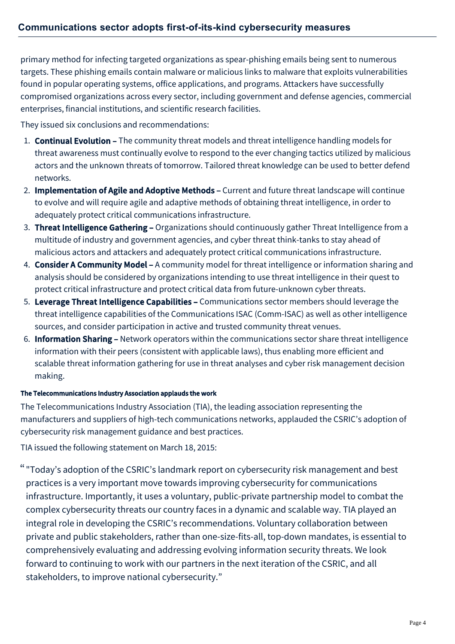primary method for infecting targeted organizations as spear-phishing emails being sent to numerous targets. These phishing emails contain malware or malicious links to malware that exploits vulnerabilities found in popular operating systems, office applications, and programs. Attackers have successfully compromised organizations across every sector, including government and defense agencies, commercial enterprises, financial institutions, and scientific research facilities.

They issued six conclusions and recommendations:

- 1. **Continual Evolution -** The community threat models and threat intelligence handling models for threat awareness must continually evolve to respond to the ever changing tactics utilized by malicious actors and the unknown threats of tomorrow. Tailored threat knowledge can be used to better defend networks.
- 2. Implementation of Agile and Adoptive Methods Current and future threat landscape will continue to evolve and will require agile and adaptive methods of obtaining threat intelligence, in order to adequately protect critical communications infrastructure.
- 3. Threat Intelligence Gathering Organizations should continuously gather Threat Intelligence from a multitude of industry and government agencies, and cyber threat think-tanks to stay ahead of malicious actors and attackers and adequately protect critical communications infrastructure.
- 4. Consider A Community Model A community model for threat intelligence or information sharing and analysis should be considered by organizations intending to use threat intelligence in their quest to protect critical infrastructure and protect critical data from future-unknown cyber threats.
- 5. Leverage Threat Intelligence Capabilities Communications sector members should leverage the threat intelligence capabilities of the Communications ISAC (Comm-ISAC) as well as other intelligence sources, and consider participation in active and trusted community threat venues.
- 6. Information Sharing Network operators within the communications sector share threat intelligence information with their peers (consistent with applicable laws), thus enabling more efficient and scalable threat information gathering for use in threat analyses and cyber risk management decision making.

## The Telecommunications Industry Association applauds the work

The Telecommunications Industry Association (TIA), the leading association representing the manufacturers and suppliers of high-tech communications networks, applauded the CSRIC's adoption of cybersecurity risk management guidance and best practices.

TIA issued the following statement on March 18, 2015:

"Today's adoption of the CSRIC's landmark report on cybersecurity risk management and best " practices is a very important move towards improving cybersecurity for communications infrastructure. Importantly, it uses a voluntary, public-private partnership model to combat the complex cybersecurity threats our country faces in a dynamic and scalable way. TIA played an integral role in developing the CSRIC's recommendations. Voluntary collaboration between private and public stakeholders, rather than one-size-fits-all, top-down mandates, is essential to comprehensively evaluating and addressing evolving information security threats. We look forward to continuing to work with our partners in the next iteration of the CSRIC, and all stakeholders, to improve national cybersecurity."